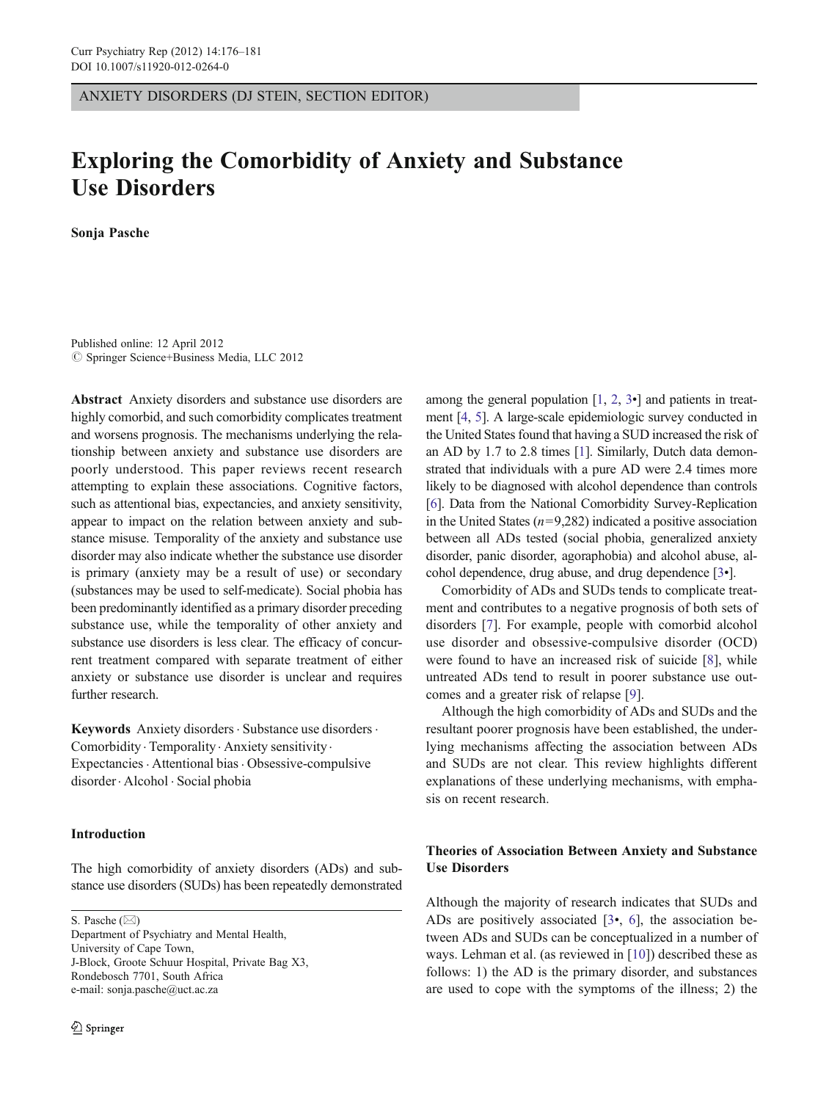ANXIETY DISORDERS (DJ STEIN, SECTION EDITOR)

# Exploring the Comorbidity of Anxiety and Substance Use Disorders

Sonja Pasche

Published online: 12 April 2012  $©$  Springer Science+Business Media, LLC 2012

Abstract Anxiety disorders and substance use disorders are highly comorbid, and such comorbidity complicates treatment and worsens prognosis. The mechanisms underlying the relationship between anxiety and substance use disorders are poorly understood. This paper reviews recent research attempting to explain these associations. Cognitive factors, such as attentional bias, expectancies, and anxiety sensitivity, appear to impact on the relation between anxiety and substance misuse. Temporality of the anxiety and substance use disorder may also indicate whether the substance use disorder is primary (anxiety may be a result of use) or secondary (substances may be used to self-medicate). Social phobia has been predominantly identified as a primary disorder preceding substance use, while the temporality of other anxiety and substance use disorders is less clear. The efficacy of concurrent treatment compared with separate treatment of either anxiety or substance use disorder is unclear and requires further research.

Keywords Anxiety disorders · Substance use disorders · Comorbidity . Temporality. Anxiety sensitivity . Expectancies · Attentional bias · Obsessive-compulsive disorder. Alcohol . Social phobia

### Introduction

The high comorbidity of anxiety disorders (ADs) and substance use disorders (SUDs) has been repeatedly demonstrated

S. Pasche  $(\boxtimes)$ 

Department of Psychiatry and Mental Health, University of Cape Town, J-Block, Groote Schuur Hospital, Private Bag X3, Rondebosch 7701, South Africa e-mail: sonja.pasche@uct.ac.za

among the general population [[1,](#page-4-0) [2](#page-4-0), [3](#page-4-0)•] and patients in treatment [\[4](#page-4-0), [5](#page-4-0)]. A large-scale epidemiologic survey conducted in the United States found that having a SUD increased the risk of an AD by 1.7 to 2.8 times [[1\]](#page-4-0). Similarly, Dutch data demonstrated that individuals with a pure AD were 2.4 times more likely to be diagnosed with alcohol dependence than controls [\[6](#page-4-0)]. Data from the National Comorbidity Survey-Replication in the United States ( $n=9,282$ ) indicated a positive association between all ADs tested (social phobia, generalized anxiety disorder, panic disorder, agoraphobia) and alcohol abuse, alcohol dependence, drug abuse, and drug dependence [[3](#page-4-0)•].

Comorbidity of ADs and SUDs tends to complicate treatment and contributes to a negative prognosis of both sets of disorders [\[7](#page-4-0)]. For example, people with comorbid alcohol use disorder and obsessive-compulsive disorder (OCD) were found to have an increased risk of suicide [\[8](#page-4-0)], while untreated ADs tend to result in poorer substance use outcomes and a greater risk of relapse [\[9](#page-4-0)].

Although the high comorbidity of ADs and SUDs and the resultant poorer prognosis have been established, the underlying mechanisms affecting the association between ADs and SUDs are not clear. This review highlights different explanations of these underlying mechanisms, with emphasis on recent research.

# Theories of Association Between Anxiety and Substance Use Disorders

Although the majority of research indicates that SUDs and ADs are positively associated  $[3, 6]$  $[3, 6]$  $[3, 6]$  $[3, 6]$ , the association between ADs and SUDs can be conceptualized in a number of ways. Lehman et al. (as reviewed in [\[10](#page-4-0)]) described these as follows: 1) the AD is the primary disorder, and substances are used to cope with the symptoms of the illness; 2) the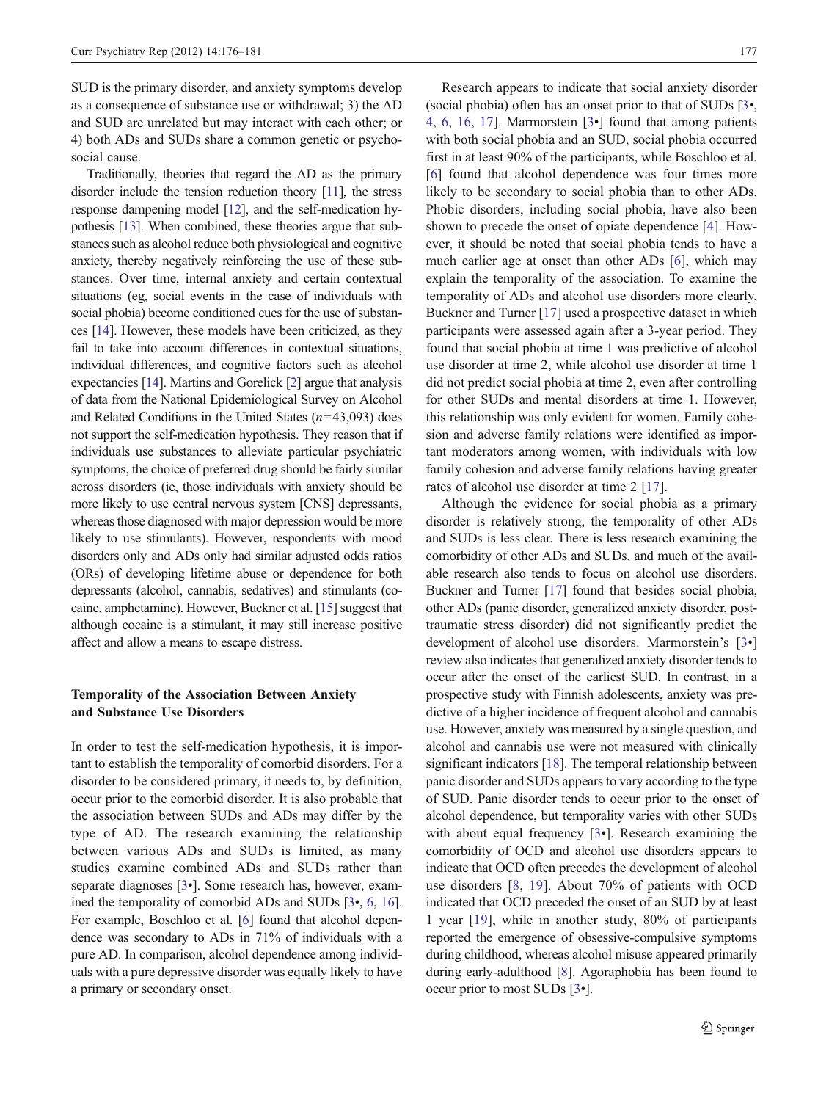SUD is the primary disorder, and anxiety symptoms develop as a consequence of substance use or withdrawal; 3) the AD and SUD are unrelated but may interact with each other; or 4) both ADs and SUDs share a common genetic or psychosocial cause.

Traditionally, theories that regard the AD as the primary disorder include the tension reduction theory [\[11\]](#page-4-0), the stress response dampening model [[12](#page-4-0)], and the self-medication hypothesis [\[13\]](#page-4-0). When combined, these theories argue that substances such as alcohol reduce both physiological and cognitive anxiety, thereby negatively reinforcing the use of these substances. Over time, internal anxiety and certain contextual situations (eg, social events in the case of individuals with social phobia) become conditioned cues for the use of substances [\[14\]](#page-4-0). However, these models have been criticized, as they fail to take into account differences in contextual situations, individual differences, and cognitive factors such as alcohol expectancies [[14](#page-4-0)]. Martins and Gorelick [[2](#page-4-0)] argue that analysis of data from the National Epidemiological Survey on Alcohol and Related Conditions in the United States  $(n=43,093)$  does not support the self-medication hypothesis. They reason that if individuals use substances to alleviate particular psychiatric symptoms, the choice of preferred drug should be fairly similar across disorders (ie, those individuals with anxiety should be more likely to use central nervous system [CNS] depressants, whereas those diagnosed with major depression would be more likely to use stimulants). However, respondents with mood disorders only and ADs only had similar adjusted odds ratios (ORs) of developing lifetime abuse or dependence for both depressants (alcohol, cannabis, sedatives) and stimulants (cocaine, amphetamine). However, Buckner et al. [[15](#page-4-0)] suggest that although cocaine is a stimulant, it may still increase positive affect and allow a means to escape distress.

## Temporality of the Association Between Anxiety and Substance Use Disorders

In order to test the self-medication hypothesis, it is important to establish the temporality of comorbid disorders. For a disorder to be considered primary, it needs to, by definition, occur prior to the comorbid disorder. It is also probable that the association between SUDs and ADs may differ by the type of AD. The research examining the relationship between various ADs and SUDs is limited, as many studies examine combined ADs and SUDs rather than separate diagnoses [\[3](#page-4-0)•]. Some research has, however, examined the temporality of comorbid ADs and SUDs [\[3](#page-4-0)•, [6](#page-4-0), [16\]](#page-4-0). For example, Boschloo et al. [\[6](#page-4-0)] found that alcohol dependence was secondary to ADs in 71% of individuals with a pure AD. In comparison, alcohol dependence among individuals with a pure depressive disorder was equally likely to have a primary or secondary onset.

Research appears to indicate that social anxiety disorder (social phobia) often has an onset prior to that of SUDs [\[3](#page-4-0)•, [4](#page-4-0), [6](#page-4-0), [16,](#page-4-0) [17\]](#page-5-0). Marmorstein [\[3](#page-4-0)•] found that among patients with both social phobia and an SUD, social phobia occurred first in at least 90% of the participants, while Boschloo et al. [\[6](#page-4-0)] found that alcohol dependence was four times more likely to be secondary to social phobia than to other ADs. Phobic disorders, including social phobia, have also been shown to precede the onset of opiate dependence [\[4](#page-4-0)]. However, it should be noted that social phobia tends to have a much earlier age at onset than other ADs [\[6\]](#page-4-0), which may explain the temporality of the association. To examine the temporality of ADs and alcohol use disorders more clearly, Buckner and Turner [\[17](#page-5-0)] used a prospective dataset in which participants were assessed again after a 3-year period. They found that social phobia at time 1 was predictive of alcohol use disorder at time 2, while alcohol use disorder at time 1 did not predict social phobia at time 2, even after controlling for other SUDs and mental disorders at time 1. However, this relationship was only evident for women. Family cohesion and adverse family relations were identified as important moderators among women, with individuals with low family cohesion and adverse family relations having greater rates of alcohol use disorder at time 2 [\[17](#page-5-0)].

Although the evidence for social phobia as a primary disorder is relatively strong, the temporality of other ADs and SUDs is less clear. There is less research examining the comorbidity of other ADs and SUDs, and much of the available research also tends to focus on alcohol use disorders. Buckner and Turner [\[17](#page-5-0)] found that besides social phobia, other ADs (panic disorder, generalized anxiety disorder, posttraumatic stress disorder) did not significantly predict the development of alcohol use disorders. Marmorstein's [\[3](#page-4-0)•] review also indicates that generalized anxiety disorder tends to occur after the onset of the earliest SUD. In contrast, in a prospective study with Finnish adolescents, anxiety was predictive of a higher incidence of frequent alcohol and cannabis use. However, anxiety was measured by a single question, and alcohol and cannabis use were not measured with clinically significant indicators [\[18](#page-5-0)]. The temporal relationship between panic disorder and SUDs appears to vary according to the type of SUD. Panic disorder tends to occur prior to the onset of alcohol dependence, but temporality varies with other SUDs with about equal frequency [\[3](#page-4-0)•]. Research examining the comorbidity of OCD and alcohol use disorders appears to indicate that OCD often precedes the development of alcohol use disorders [\[8](#page-4-0), [19](#page-5-0)]. About 70% of patients with OCD indicated that OCD preceded the onset of an SUD by at least 1 year [\[19\]](#page-5-0), while in another study, 80% of participants reported the emergence of obsessive-compulsive symptoms during childhood, whereas alcohol misuse appeared primarily during early-adulthood [\[8\]](#page-4-0). Agoraphobia has been found to occur prior to most SUDs [\[3](#page-4-0)•].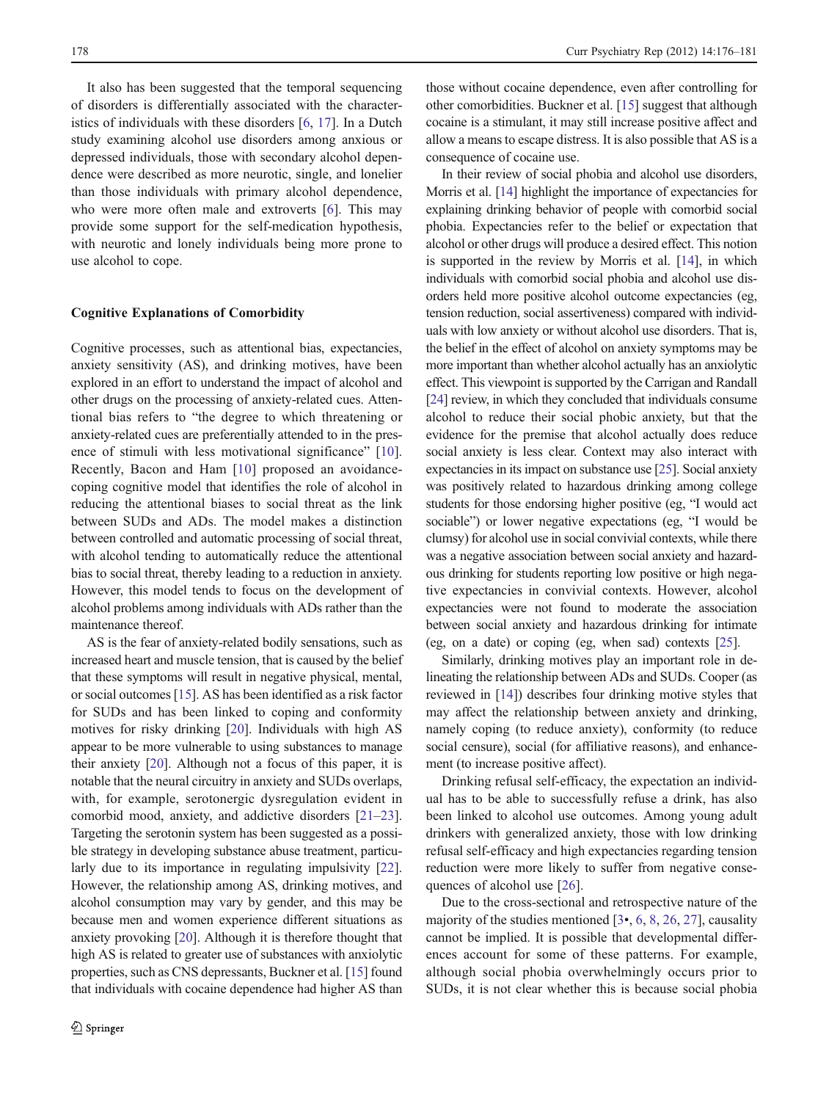It also has been suggested that the temporal sequencing of disorders is differentially associated with the characteristics of individuals with these disorders [[6,](#page-4-0) [17](#page-5-0)]. In a Dutch study examining alcohol use disorders among anxious or depressed individuals, those with secondary alcohol dependence were described as more neurotic, single, and lonelier than those individuals with primary alcohol dependence, who were more often male and extroverts [[6\]](#page-4-0). This may provide some support for the self-medication hypothesis, with neurotic and lonely individuals being more prone to use alcohol to cope.

#### Cognitive Explanations of Comorbidity

Cognitive processes, such as attentional bias, expectancies, anxiety sensitivity (AS), and drinking motives, have been explored in an effort to understand the impact of alcohol and other drugs on the processing of anxiety-related cues. Attentional bias refers to "the degree to which threatening or anxiety-related cues are preferentially attended to in the presence of stimuli with less motivational significance" [\[10](#page-4-0)]. Recently, Bacon and Ham [[10\]](#page-4-0) proposed an avoidancecoping cognitive model that identifies the role of alcohol in reducing the attentional biases to social threat as the link between SUDs and ADs. The model makes a distinction between controlled and automatic processing of social threat, with alcohol tending to automatically reduce the attentional bias to social threat, thereby leading to a reduction in anxiety. However, this model tends to focus on the development of alcohol problems among individuals with ADs rather than the maintenance thereof.

AS is the fear of anxiety-related bodily sensations, such as increased heart and muscle tension, that is caused by the belief that these symptoms will result in negative physical, mental, or social outcomes [[15\]](#page-4-0). AS has been identified as a risk factor for SUDs and has been linked to coping and conformity motives for risky drinking [[20\]](#page-5-0). Individuals with high AS appear to be more vulnerable to using substances to manage their anxiety [[20\]](#page-5-0). Although not a focus of this paper, it is notable that the neural circuitry in anxiety and SUDs overlaps, with, for example, serotonergic dysregulation evident in comorbid mood, anxiety, and addictive disorders [[21](#page-5-0)–[23](#page-5-0)]. Targeting the serotonin system has been suggested as a possible strategy in developing substance abuse treatment, particularly due to its importance in regulating impulsivity [\[22](#page-5-0)]. However, the relationship among AS, drinking motives, and alcohol consumption may vary by gender, and this may be because men and women experience different situations as anxiety provoking [[20](#page-5-0)]. Although it is therefore thought that high AS is related to greater use of substances with anxiolytic properties, such as CNS depressants, Buckner et al. [\[15](#page-4-0)] found that individuals with cocaine dependence had higher AS than

those without cocaine dependence, even after controlling for other comorbidities. Buckner et al. [\[15](#page-4-0)] suggest that although cocaine is a stimulant, it may still increase positive affect and allow a means to escape distress. It is also possible that AS is a consequence of cocaine use.

In their review of social phobia and alcohol use disorders, Morris et al. [\[14\]](#page-4-0) highlight the importance of expectancies for explaining drinking behavior of people with comorbid social phobia. Expectancies refer to the belief or expectation that alcohol or other drugs will produce a desired effect. This notion is supported in the review by Morris et al. [\[14](#page-4-0)], in which individuals with comorbid social phobia and alcohol use disorders held more positive alcohol outcome expectancies (eg, tension reduction, social assertiveness) compared with individuals with low anxiety or without alcohol use disorders. That is, the belief in the effect of alcohol on anxiety symptoms may be more important than whether alcohol actually has an anxiolytic effect. This viewpoint is supported by the Carrigan and Randall [\[24\]](#page-5-0) review, in which they concluded that individuals consume alcohol to reduce their social phobic anxiety, but that the evidence for the premise that alcohol actually does reduce social anxiety is less clear. Context may also interact with expectancies in its impact on substance use [\[25](#page-5-0)]. Social anxiety was positively related to hazardous drinking among college students for those endorsing higher positive (eg, "I would act sociable") or lower negative expectations (eg, "I would be clumsy) for alcohol use in social convivial contexts, while there was a negative association between social anxiety and hazardous drinking for students reporting low positive or high negative expectancies in convivial contexts. However, alcohol expectancies were not found to moderate the association between social anxiety and hazardous drinking for intimate (eg, on a date) or coping (eg, when sad) contexts [\[25\]](#page-5-0).

Similarly, drinking motives play an important role in delineating the relationship between ADs and SUDs. Cooper (as reviewed in [\[14](#page-4-0)]) describes four drinking motive styles that may affect the relationship between anxiety and drinking, namely coping (to reduce anxiety), conformity (to reduce social censure), social (for affiliative reasons), and enhancement (to increase positive affect).

Drinking refusal self-efficacy, the expectation an individual has to be able to successfully refuse a drink, has also been linked to alcohol use outcomes. Among young adult drinkers with generalized anxiety, those with low drinking refusal self-efficacy and high expectancies regarding tension reduction were more likely to suffer from negative consequences of alcohol use [[26\]](#page-5-0).

Due to the cross-sectional and retrospective nature of the majority of the studies mentioned [[3](#page-4-0)•, [6,](#page-4-0) [8,](#page-4-0) [26](#page-5-0), [27](#page-5-0)], causality cannot be implied. It is possible that developmental differences account for some of these patterns. For example, although social phobia overwhelmingly occurs prior to SUDs, it is not clear whether this is because social phobia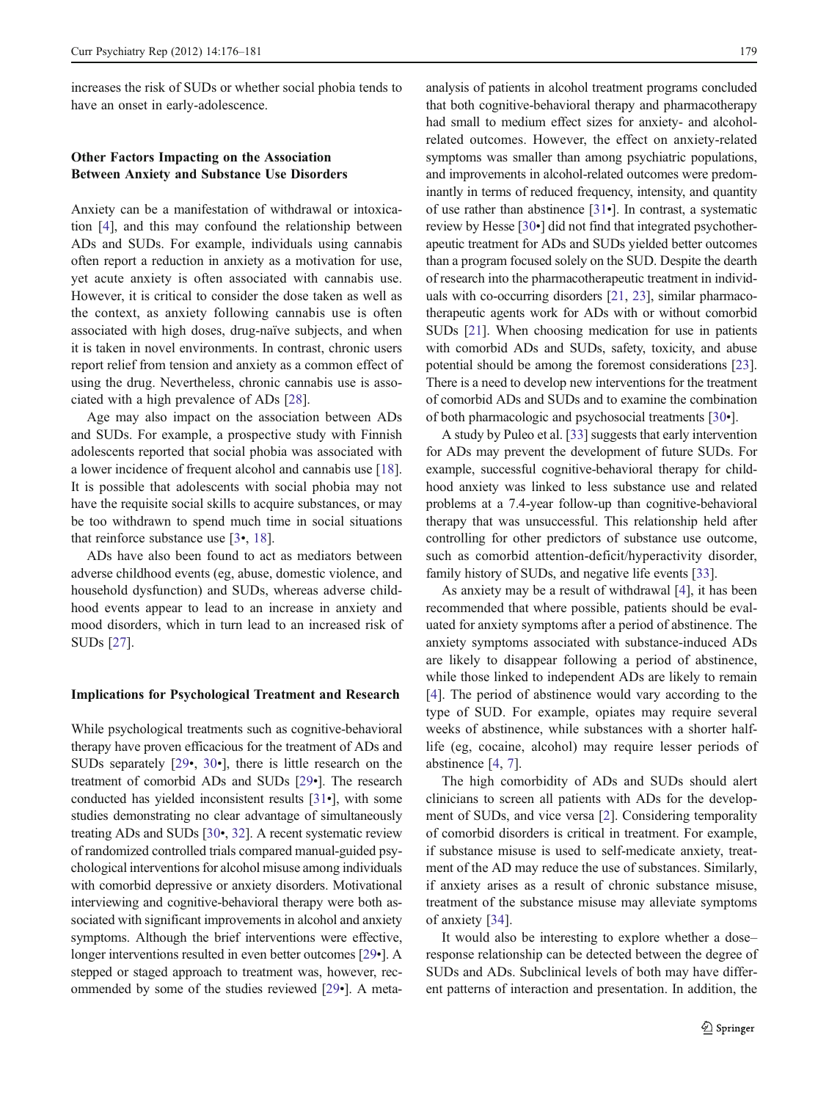increases the risk of SUDs or whether social phobia tends to have an onset in early-adolescence.

## Other Factors Impacting on the Association Between Anxiety and Substance Use Disorders

Anxiety can be a manifestation of withdrawal or intoxication [[4\]](#page-4-0), and this may confound the relationship between ADs and SUDs. For example, individuals using cannabis often report a reduction in anxiety as a motivation for use, yet acute anxiety is often associated with cannabis use. However, it is critical to consider the dose taken as well as the context, as anxiety following cannabis use is often associated with high doses, drug-naïve subjects, and when it is taken in novel environments. In contrast, chronic users report relief from tension and anxiety as a common effect of using the drug. Nevertheless, chronic cannabis use is associated with a high prevalence of ADs [\[28](#page-5-0)].

Age may also impact on the association between ADs and SUDs. For example, a prospective study with Finnish adolescents reported that social phobia was associated with a lower incidence of frequent alcohol and cannabis use [\[18](#page-5-0)]. It is possible that adolescents with social phobia may not have the requisite social skills to acquire substances, or may be too withdrawn to spend much time in social situations that reinforce substance use [\[3](#page-4-0)•, [18\]](#page-5-0).

ADs have also been found to act as mediators between adverse childhood events (eg, abuse, domestic violence, and household dysfunction) and SUDs, whereas adverse childhood events appear to lead to an increase in anxiety and mood disorders, which in turn lead to an increased risk of SUDs [[27\]](#page-5-0).

#### Implications for Psychological Treatment and Research

While psychological treatments such as cognitive-behavioral therapy have proven efficacious for the treatment of ADs and SUDs separately [\[29](#page-5-0)•, [30](#page-5-0)•], there is little research on the treatment of comorbid ADs and SUDs [\[29](#page-5-0)•]. The research conducted has yielded inconsistent results [\[31](#page-5-0)•], with some studies demonstrating no clear advantage of simultaneously treating ADs and SUDs [[30](#page-5-0)•, [32](#page-5-0)]. A recent systematic review of randomized controlled trials compared manual-guided psychological interventions for alcohol misuse among individuals with comorbid depressive or anxiety disorders. Motivational interviewing and cognitive-behavioral therapy were both associated with significant improvements in alcohol and anxiety symptoms. Although the brief interventions were effective, longer interventions resulted in even better outcomes [\[29](#page-5-0)•]. A stepped or staged approach to treatment was, however, recommended by some of the studies reviewed [\[29](#page-5-0)•]. A metaanalysis of patients in alcohol treatment programs concluded that both cognitive-behavioral therapy and pharmacotherapy had small to medium effect sizes for anxiety- and alcoholrelated outcomes. However, the effect on anxiety-related symptoms was smaller than among psychiatric populations, and improvements in alcohol-related outcomes were predominantly in terms of reduced frequency, intensity, and quantity of use rather than abstinence [[31](#page-5-0)•]. In contrast, a systematic review by Hesse [\[30](#page-5-0)•] did not find that integrated psychotherapeutic treatment for ADs and SUDs yielded better outcomes than a program focused solely on the SUD. Despite the dearth of research into the pharmacotherapeutic treatment in individuals with co-occurring disorders [\[21,](#page-5-0) [23](#page-5-0)], similar pharmacotherapeutic agents work for ADs with or without comorbid SUDs [[21\]](#page-5-0). When choosing medication for use in patients with comorbid ADs and SUDs, safety, toxicity, and abuse potential should be among the foremost considerations [[23\]](#page-5-0). There is a need to develop new interventions for the treatment of comorbid ADs and SUDs and to examine the combination of both pharmacologic and psychosocial treatments [\[30](#page-5-0)•].

A study by Puleo et al. [[33\]](#page-5-0) suggests that early intervention for ADs may prevent the development of future SUDs. For example, successful cognitive-behavioral therapy for childhood anxiety was linked to less substance use and related problems at a 7.4-year follow-up than cognitive-behavioral therapy that was unsuccessful. This relationship held after controlling for other predictors of substance use outcome, such as comorbid attention-deficit/hyperactivity disorder, family history of SUDs, and negative life events [\[33](#page-5-0)].

As anxiety may be a result of withdrawal [[4](#page-4-0)], it has been recommended that where possible, patients should be evaluated for anxiety symptoms after a period of abstinence. The anxiety symptoms associated with substance-induced ADs are likely to disappear following a period of abstinence, while those linked to independent ADs are likely to remain [\[4](#page-4-0)]. The period of abstinence would vary according to the type of SUD. For example, opiates may require several weeks of abstinence, while substances with a shorter halflife (eg, cocaine, alcohol) may require lesser periods of abstinence [\[4](#page-4-0), [7\]](#page-4-0).

The high comorbidity of ADs and SUDs should alert clinicians to screen all patients with ADs for the development of SUDs, and vice versa [[2\]](#page-4-0). Considering temporality of comorbid disorders is critical in treatment. For example, if substance misuse is used to self-medicate anxiety, treatment of the AD may reduce the use of substances. Similarly, if anxiety arises as a result of chronic substance misuse, treatment of the substance misuse may alleviate symptoms of anxiety [[34\]](#page-5-0).

It would also be interesting to explore whether a dose– response relationship can be detected between the degree of SUDs and ADs. Subclinical levels of both may have different patterns of interaction and presentation. In addition, the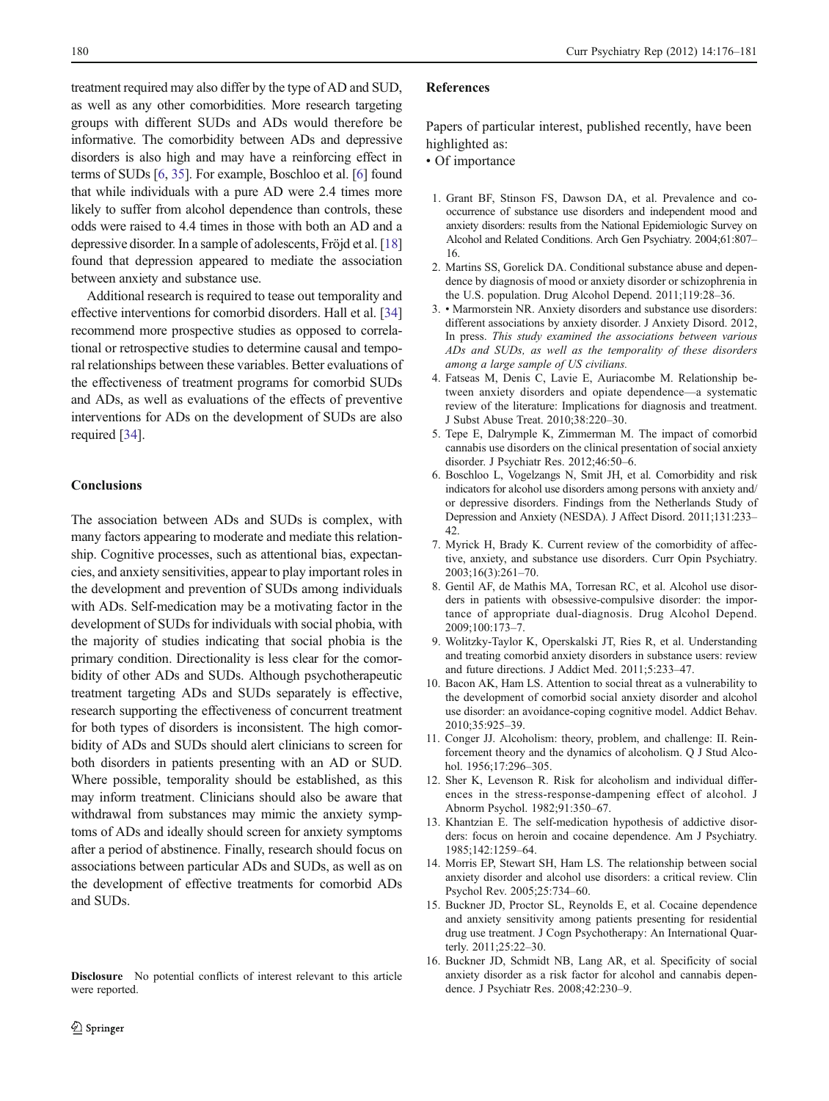<span id="page-4-0"></span>treatment required may also differ by the type of AD and SUD, as well as any other comorbidities. More research targeting groups with different SUDs and ADs would therefore be informative. The comorbidity between ADs and depressive disorders is also high and may have a reinforcing effect in terms of SUDs [6, [35\]](#page-5-0). For example, Boschloo et al. [6] found that while individuals with a pure AD were 2.4 times more likely to suffer from alcohol dependence than controls, these odds were raised to 4.4 times in those with both an AD and a depressive disorder. In a sample of adolescents, Fröjd et al. [\[18\]](#page-5-0) found that depression appeared to mediate the association between anxiety and substance use.

Additional research is required to tease out temporality and effective interventions for comorbid disorders. Hall et al. [\[34\]](#page-5-0) recommend more prospective studies as opposed to correlational or retrospective studies to determine causal and temporal relationships between these variables. Better evaluations of the effectiveness of treatment programs for comorbid SUDs and ADs, as well as evaluations of the effects of preventive interventions for ADs on the development of SUDs are also required [[34\]](#page-5-0).

#### Conclusions

The association between ADs and SUDs is complex, with many factors appearing to moderate and mediate this relationship. Cognitive processes, such as attentional bias, expectancies, and anxiety sensitivities, appear to play important roles in the development and prevention of SUDs among individuals with ADs. Self-medication may be a motivating factor in the development of SUDs for individuals with social phobia, with the majority of studies indicating that social phobia is the primary condition. Directionality is less clear for the comorbidity of other ADs and SUDs. Although psychotherapeutic treatment targeting ADs and SUDs separately is effective, research supporting the effectiveness of concurrent treatment for both types of disorders is inconsistent. The high comorbidity of ADs and SUDs should alert clinicians to screen for both disorders in patients presenting with an AD or SUD. Where possible, temporality should be established, as this may inform treatment. Clinicians should also be aware that withdrawal from substances may mimic the anxiety symptoms of ADs and ideally should screen for anxiety symptoms after a period of abstinence. Finally, research should focus on associations between particular ADs and SUDs, as well as on the development of effective treatments for comorbid ADs and SUDs.

Disclosure No potential conflicts of interest relevant to this article were reported.

#### References

Papers of particular interest, published recently, have been highlighted as:

- Of importance
- 1. Grant BF, Stinson FS, Dawson DA, et al. Prevalence and cooccurrence of substance use disorders and independent mood and anxiety disorders: results from the National Epidemiologic Survey on Alcohol and Related Conditions. Arch Gen Psychiatry. 2004;61:807– 16.
- 2. Martins SS, Gorelick DA. Conditional substance abuse and dependence by diagnosis of mood or anxiety disorder or schizophrenia in the U.S. population. Drug Alcohol Depend. 2011;119:28–36.
- 3. Marmorstein NR. Anxiety disorders and substance use disorders: different associations by anxiety disorder. J Anxiety Disord. 2012, In press. This study examined the associations between various ADs and SUDs, as well as the temporality of these disorders among a large sample of US civilians.
- 4. Fatseas M, Denis C, Lavie E, Auriacombe M. Relationship between anxiety disorders and opiate dependence—a systematic review of the literature: Implications for diagnosis and treatment. J Subst Abuse Treat. 2010;38:220–30.
- 5. Tepe E, Dalrymple K, Zimmerman M. The impact of comorbid cannabis use disorders on the clinical presentation of social anxiety disorder. J Psychiatr Res. 2012;46:50–6.
- 6. Boschloo L, Vogelzangs N, Smit JH, et al. Comorbidity and risk indicators for alcohol use disorders among persons with anxiety and/ or depressive disorders. Findings from the Netherlands Study of Depression and Anxiety (NESDA). J Affect Disord. 2011;131:233– 42.
- 7. Myrick H, Brady K. Current review of the comorbidity of affective, anxiety, and substance use disorders. Curr Opin Psychiatry. 2003;16(3):261–70.
- 8. Gentil AF, de Mathis MA, Torresan RC, et al. Alcohol use disorders in patients with obsessive-compulsive disorder: the importance of appropriate dual-diagnosis. Drug Alcohol Depend. 2009;100:173–7.
- 9. Wolitzky-Taylor K, Operskalski JT, Ries R, et al. Understanding and treating comorbid anxiety disorders in substance users: review and future directions. J Addict Med. 2011;5:233–47.
- 10. Bacon AK, Ham LS. Attention to social threat as a vulnerability to the development of comorbid social anxiety disorder and alcohol use disorder: an avoidance-coping cognitive model. Addict Behav. 2010;35:925–39.
- 11. Conger JJ. Alcoholism: theory, problem, and challenge: II. Reinforcement theory and the dynamics of alcoholism. Q J Stud Alcohol. 1956;17:296–305.
- 12. Sher K, Levenson R. Risk for alcoholism and individual differences in the stress-response-dampening effect of alcohol. J Abnorm Psychol. 1982;91:350–67.
- 13. Khantzian E. The self-medication hypothesis of addictive disorders: focus on heroin and cocaine dependence. Am J Psychiatry. 1985;142:1259–64.
- 14. Morris EP, Stewart SH, Ham LS. The relationship between social anxiety disorder and alcohol use disorders: a critical review. Clin Psychol Rev. 2005;25:734–60.
- 15. Buckner JD, Proctor SL, Reynolds E, et al. Cocaine dependence and anxiety sensitivity among patients presenting for residential drug use treatment. J Cogn Psychotherapy: An International Quarterly. 2011;25:22–30.
- 16. Buckner JD, Schmidt NB, Lang AR, et al. Specificity of social anxiety disorder as a risk factor for alcohol and cannabis dependence. J Psychiatr Res. 2008;42:230–9.